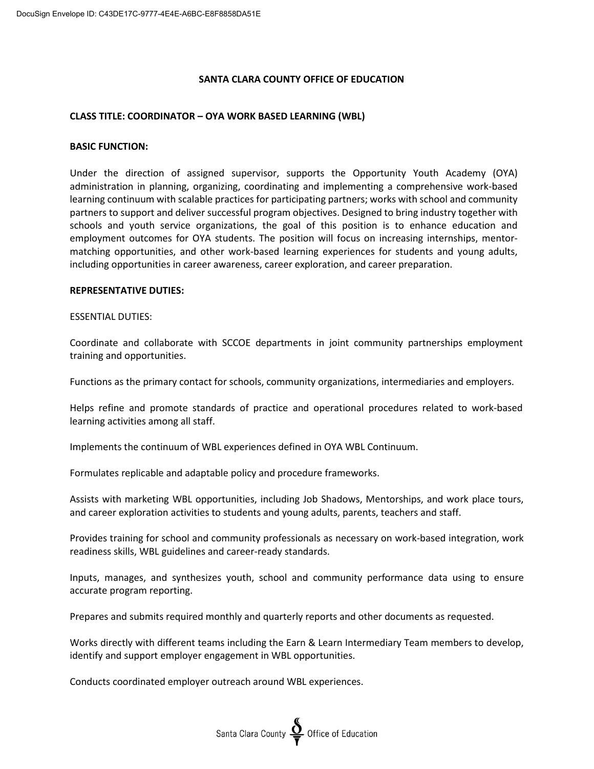### **SANTA CLARA COUNTY OFFICE OF EDUCATION**

### **CLASS TITLE: COORDINATOR – OYA WORK BASED LEARNING (WBL)**

#### **BASIC FUNCTION:**

Under the direction of assigned supervisor, supports the Opportunity Youth Academy (OYA) administration in planning, organizing, coordinating and implementing a comprehensive work-based learning continuum with scalable practices for participating partners; works with school and community partners to support and deliver successful program objectives. Designed to bring industry together with schools and youth service organizations, the goal of this position is to enhance education and employment outcomes for OYA students. The position will focus on increasing internships, mentormatching opportunities, and other work-based learning experiences for students and young adults, including opportunities in career awareness, career exploration, and career preparation.

### **REPRESENTATIVE DUTIES:**

#### ESSENTIAL DUTIES:

Coordinate and collaborate with SCCOE departments in joint community partnerships employment training and opportunities.

Functions as the primary contact for schools, community organizations, intermediaries and employers.

Helps refine and promote standards of practice and operational procedures related to work-based learning activities among all staff.

Implements the continuum of WBL experiences defined in OYA WBL Continuum.

Formulates replicable and adaptable policy and procedure frameworks.

Assists with marketing WBL opportunities, including Job Shadows, Mentorships, and work place tours, and career exploration activities to students and young adults, parents, teachers and staff.

Provides training for school and community professionals as necessary on work-based integration, work readiness skills, WBL guidelines and career-ready standards.

Inputs, manages, and synthesizes youth, school and community performance data using to ensure accurate program reporting.

Prepares and submits required monthly and quarterly reports and other documents as requested.

Works directly with different teams including the Earn & Learn Intermediary Team members to develop, identify and support employer engagement in WBL opportunities.

Conducts coordinated employer outreach around WBL experiences.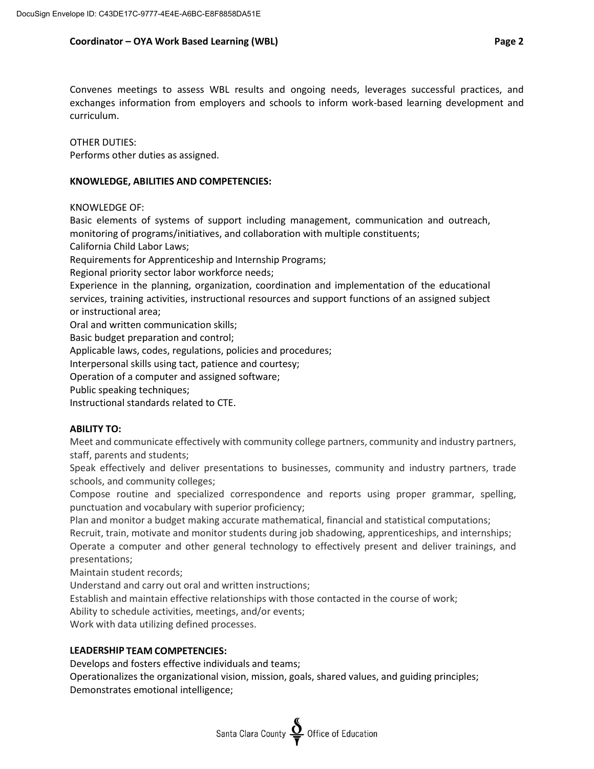# **Coordinator – OYA Work Based Learning (WBL) Page 2**

Convenes meetings to assess WBL results and ongoing needs, leverages successful practices, and exchanges information from employers and schools to inform work-based learning development and curriculum.

OTHER DUTIES: Performs other duties as assigned.

### **KNOWLEDGE, ABILITIES AND COMPETENCIES:**

KNOWLEDGE OF:

Basic elements of systems of support including management, communication and outreach, monitoring of programs/initiatives, and collaboration with multiple constituents;

California Child Labor Laws;

Requirements for Apprenticeship and Internship Programs;

Regional priority sector labor workforce needs;

Experience in the planning, organization, coordination and implementation of the educational services, training activities, instructional resources and support functions of an assigned subject or instructional area;

Oral and written communication skills;

Basic budget preparation and control;

Applicable laws, codes, regulations, policies and procedures;

Interpersonal skills using tact, patience and courtesy;

Operation of a computer and assigned software;

Public speaking techniques;

Instructional standards related to CTE.

# **ABILITY TO:**

Meet and communicate effectively with community college partners, community and industry partners, staff, parents and students;

Speak effectively and deliver presentations to businesses, community and industry partners, trade schools, and community colleges;

Compose routine and specialized correspondence and reports using proper grammar, spelling, punctuation and vocabulary with superior proficiency;

Plan and monitor a budget making accurate mathematical, financial and statistical computations;

Recruit, train, motivate and monitor students during job shadowing, apprenticeships, and internships;

Operate a computer and other general technology to effectively present and deliver trainings, and presentations;

Maintain student records;

Understand and carry out oral and written instructions;

Establish and maintain effective relationships with those contacted in the course of work;

Ability to schedule activities, meetings, and/or events;

Work with data utilizing defined processes.

### **LEADERSHIP TEAM COMPETENCIES:**

Develops and fosters effective individuals and teams;

Operationalizes the organizational vision, mission, goals, shared values, and guiding principles; Demonstrates emotional intelligence;